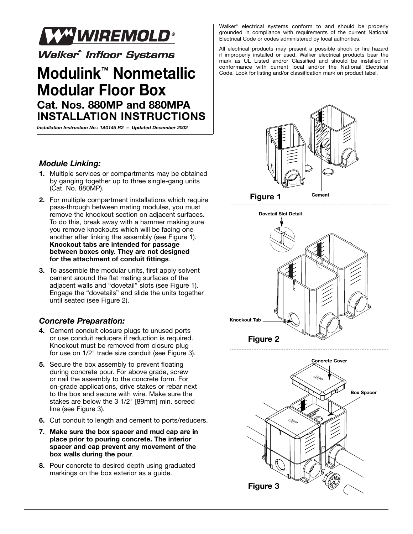

**Walker<sup>®</sup> Infloor Systems** 

## **Modulink™ Nonmetallic Modular Floor Box Cat. Nos. 880MP and 880MPA INSTALLATION INSTRUCTIONS**

*Installation Instruction No.: 1A0145 R2 – Updated December 2002*

## *Module Linking:*

- **1.** Multiple services or compartments may be obtained by ganging together up to three single-gang units (Cat. No. 880MP).
- **2.** For multiple compartment installations which require pass-through between mating modules, you must remove the knockout section on adjacent surfaces. To do this, break away with a hammer making sure you remove knockouts which will be facing one another after linking the assembly (see Figure 1). **Knockout tabs are intended for passage between boxes only. They are not designed for the attachment of conduit fittings**.
- **3.** To assemble the modular units, first apply solvent cement around the flat mating surfaces of the adjacent walls and "dovetail" slots (see Figure 1). Engage the "dovetails" and slide the units together until seated (see Figure 2).

## *Concrete Preparation:*

- **4.** Cement conduit closure plugs to unused ports or use conduit reducers if reduction is required. Knockout must be removed from closure plug for use on 1/2" trade size conduit (see Figure 3).
- **5.** Secure the box assembly to prevent floating during concrete pour. For above grade, screw or nail the assembly to the concrete form. For on-grade applications, drive stakes or rebar next to the box and secure with wire. Make sure the stakes are below the 3 1/2" [89mm] min. screed line (see Figure 3).
- **6.** Cut conduit to length and cement to ports/reducers.
- **7. Make sure the box spacer and mud cap are in place prior to pouring concrete. The interior spacer and cap prevent any movement of the box walls during the pour**.
- **8.** Pour concrete to desired depth using graduated markings on the box exterior as a guide.

Walker® electrical systems conform to and should be properly grounded in compliance with requirements of the current National Electrical Code or codes administered by local authorities.

All electrical products may present a possible shock or fire hazard if improperly installed or used. Walker electrical products bear the mark as UL Listed and/or Classified and should be installed in conformance with current local and/or the National Electrical Code. Look for listing and/or classification mark on product label.